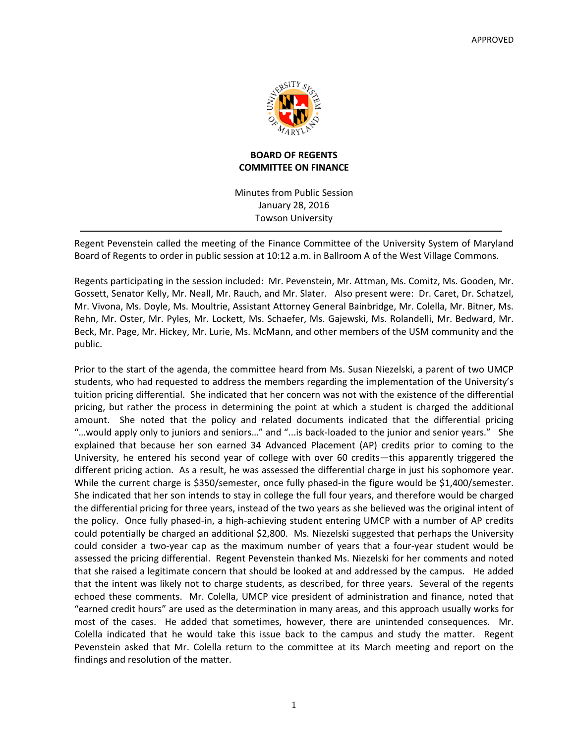

#### **BOARD OF REGENTS COMMITTEE ON FINANCE**

Minutes from Public Session January 28, 2016 Towson University

Regent Pevenstein called the meeting of the Finance Committee of the University System of Maryland Board of Regents to order in public session at 10:12 a.m. in Ballroom A of the West Village Commons.

Regents participating in the session included: Mr. Pevenstein, Mr. Attman, Ms. Comitz, Ms. Gooden, Mr. Gossett, Senator Kelly, Mr. Neall, Mr. Rauch, and Mr. Slater. Also present were: Dr. Caret, Dr. Schatzel, Mr. Vivona, Ms. Doyle, Ms. Moultrie, Assistant Attorney General Bainbridge, Mr. Colella, Mr. Bitner, Ms. Rehn, Mr. Oster, Mr. Pyles, Mr. Lockett, Ms. Schaefer, Ms. Gajewski, Ms. Rolandelli, Mr. Bedward, Mr. Beck, Mr. Page, Mr. Hickey, Mr. Lurie, Ms. McMann, and other members of the USM community and the public.

Prior to the start of the agenda, the committee heard from Ms. Susan Niezelski, a parent of two UMCP students, who had requested to address the members regarding the implementation of the University's tuition pricing differential. She indicated that her concern was not with the existence of the differential pricing, but rather the process in determining the point at which a student is charged the additional amount. She noted that the policy and related documents indicated that the differential pricing "…would apply only to juniors and seniors…" and "...is back‐loaded to the junior and senior years." She explained that because her son earned 34 Advanced Placement (AP) credits prior to coming to the University, he entered his second year of college with over 60 credits—this apparently triggered the different pricing action. As a result, he was assessed the differential charge in just his sophomore year. While the current charge is \$350/semester, once fully phased-in the figure would be \$1,400/semester. She indicated that her son intends to stay in college the full four years, and therefore would be charged the differential pricing for three years, instead of the two years as she believed was the original intent of the policy. Once fully phased-in, a high-achieving student entering UMCP with a number of AP credits could potentially be charged an additional \$2,800. Ms. Niezelski suggested that perhaps the University could consider a two‐year cap as the maximum number of years that a four‐year student would be assessed the pricing differential. Regent Pevenstein thanked Ms. Niezelski for her comments and noted that she raised a legitimate concern that should be looked at and addressed by the campus. He added that the intent was likely not to charge students, as described, for three years. Several of the regents echoed these comments. Mr. Colella, UMCP vice president of administration and finance, noted that "earned credit hours" are used as the determination in many areas, and this approach usually works for most of the cases. He added that sometimes, however, there are unintended consequences. Mr. Colella indicated that he would take this issue back to the campus and study the matter. Regent Pevenstein asked that Mr. Colella return to the committee at its March meeting and report on the findings and resolution of the matter.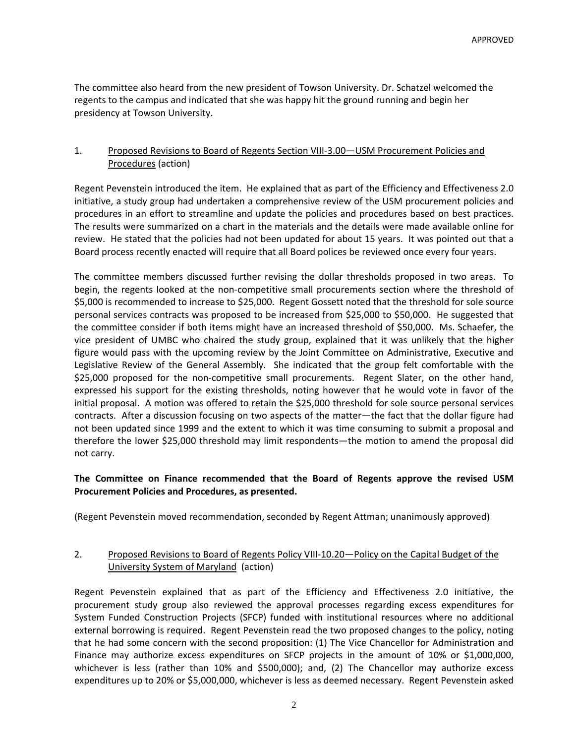The committee also heard from the new president of Towson University. Dr. Schatzel welcomed the regents to the campus and indicated that she was happy hit the ground running and begin her presidency at Towson University.

## 1. Proposed Revisions to Board of Regents Section VIII‐3.00—USM Procurement Policies and Procedures (action)

Regent Pevenstein introduced the item. He explained that as part of the Efficiency and Effectiveness 2.0 initiative, a study group had undertaken a comprehensive review of the USM procurement policies and procedures in an effort to streamline and update the policies and procedures based on best practices. The results were summarized on a chart in the materials and the details were made available online for review. He stated that the policies had not been updated for about 15 years. It was pointed out that a Board process recently enacted will require that all Board polices be reviewed once every four years.

The committee members discussed further revising the dollar thresholds proposed in two areas. To begin, the regents looked at the non-competitive small procurements section where the threshold of \$5,000 is recommended to increase to \$25,000. Regent Gossett noted that the threshold for sole source personal services contracts was proposed to be increased from \$25,000 to \$50,000. He suggested that the committee consider if both items might have an increased threshold of \$50,000. Ms. Schaefer, the vice president of UMBC who chaired the study group, explained that it was unlikely that the higher figure would pass with the upcoming review by the Joint Committee on Administrative, Executive and Legislative Review of the General Assembly. She indicated that the group felt comfortable with the \$25,000 proposed for the non-competitive small procurements. Regent Slater, on the other hand, expressed his support for the existing thresholds, noting however that he would vote in favor of the initial proposal. A motion was offered to retain the \$25,000 threshold for sole source personal services contracts. After a discussion focusing on two aspects of the matter—the fact that the dollar figure had not been updated since 1999 and the extent to which it was time consuming to submit a proposal and therefore the lower \$25,000 threshold may limit respondents—the motion to amend the proposal did not carry.

### **The Committee on Finance recommended that the Board of Regents approve the revised USM Procurement Policies and Procedures, as presented.**

(Regent Pevenstein moved recommendation, seconded by Regent Attman; unanimously approved)

### 2. Proposed Revisions to Board of Regents Policy VIII‐10.20—Policy on the Capital Budget of the University System of Maryland (action)

Regent Pevenstein explained that as part of the Efficiency and Effectiveness 2.0 initiative, the procurement study group also reviewed the approval processes regarding excess expenditures for System Funded Construction Projects (SFCP) funded with institutional resources where no additional external borrowing is required. Regent Pevenstein read the two proposed changes to the policy, noting that he had some concern with the second proposition: (1) The Vice Chancellor for Administration and Finance may authorize excess expenditures on SFCP projects in the amount of 10% or \$1,000,000, whichever is less (rather than 10% and \$500,000); and, (2) The Chancellor may authorize excess expenditures up to 20% or \$5,000,000, whichever is less as deemed necessary. Regent Pevenstein asked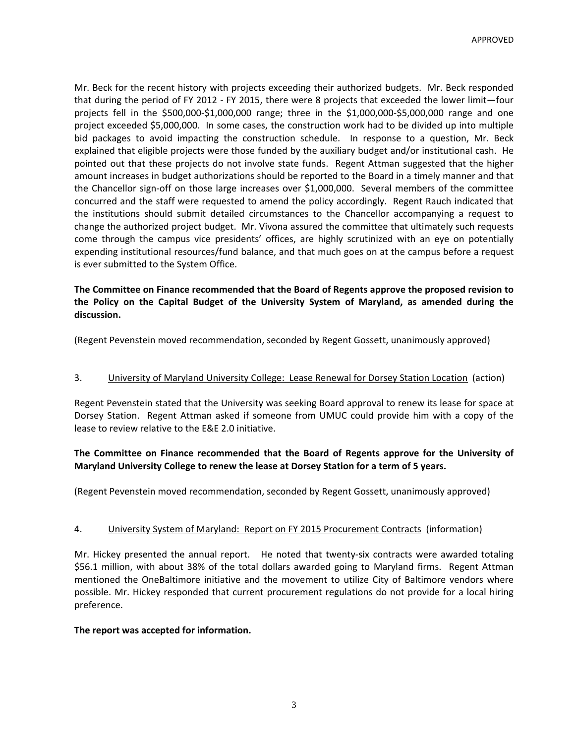Mr. Beck for the recent history with projects exceeding their authorized budgets. Mr. Beck responded that during the period of FY 2012 ‐ FY 2015, there were 8 projects that exceeded the lower limit—four projects fell in the \$500,000‐\$1,000,000 range; three in the \$1,000,000‐\$5,000,000 range and one project exceeded \$5,000,000. In some cases, the construction work had to be divided up into multiple bid packages to avoid impacting the construction schedule. In response to a question, Mr. Beck explained that eligible projects were those funded by the auxiliary budget and/or institutional cash. He pointed out that these projects do not involve state funds. Regent Attman suggested that the higher amount increases in budget authorizations should be reported to the Board in a timely manner and that the Chancellor sign‐off on those large increases over \$1,000,000. Several members of the committee concurred and the staff were requested to amend the policy accordingly. Regent Rauch indicated that the institutions should submit detailed circumstances to the Chancellor accompanying a request to change the authorized project budget. Mr. Vivona assured the committee that ultimately such requests come through the campus vice presidents' offices, are highly scrutinized with an eye on potentially expending institutional resources/fund balance, and that much goes on at the campus before a request is ever submitted to the System Office.

#### **The Committee on Finance recommended that the Board of Regents approve the proposed revision to the Policy on the Capital Budget of the University System of Maryland, as amended during the discussion.**

(Regent Pevenstein moved recommendation, seconded by Regent Gossett, unanimously approved)

#### 3. University of Maryland University College: Lease Renewal for Dorsey Station Location (action)

Regent Pevenstein stated that the University was seeking Board approval to renew its lease for space at Dorsey Station. Regent Attman asked if someone from UMUC could provide him with a copy of the lease to review relative to the E&E 2.0 initiative.

### **The Committee on Finance recommended that the Board of Regents approve for the University of Maryland University College to renew the lease at Dorsey Station for a term of 5 years.**

(Regent Pevenstein moved recommendation, seconded by Regent Gossett, unanimously approved)

#### 4. University System of Maryland: Report on FY 2015 Procurement Contracts (information)

Mr. Hickey presented the annual report. He noted that twenty‐six contracts were awarded totaling \$56.1 million, with about 38% of the total dollars awarded going to Maryland firms. Regent Attman mentioned the OneBaltimore initiative and the movement to utilize City of Baltimore vendors where possible. Mr. Hickey responded that current procurement regulations do not provide for a local hiring preference.

#### **The report was accepted for information.**